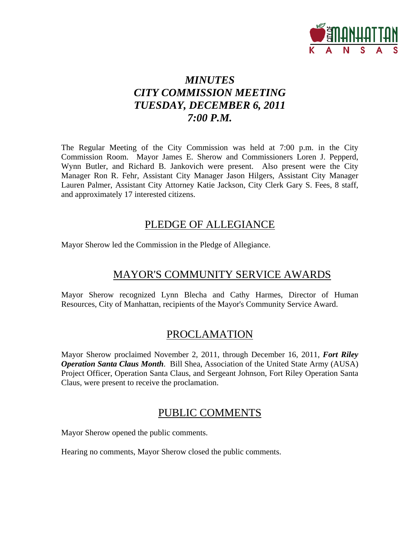

# *MINUTES CITY COMMISSION MEETING TUESDAY, DECEMBER 6, 2011 7:00 P.M.*

The Regular Meeting of the City Commission was held at 7:00 p.m. in the City Commission Room. Mayor James E. Sherow and Commissioners Loren J. Pepperd, Wynn Butler, and Richard B. Jankovich were present. Also present were the City Manager Ron R. Fehr, Assistant City Manager Jason Hilgers, Assistant City Manager Lauren Palmer, Assistant City Attorney Katie Jackson, City Clerk Gary S. Fees, 8 staff, and approximately 17 interested citizens.

## PLEDGE OF ALLEGIANCE

Mayor Sherow led the Commission in the Pledge of Allegiance.

# MAYOR'S COMMUNITY SERVICE AWARDS

Mayor Sherow recognized Lynn Blecha and Cathy Harmes, Director of Human Resources, City of Manhattan, recipients of the Mayor's Community Service Award.

# PROCLAMATION

Mayor Sherow proclaimed November 2, 2011, through December 16, 2011, *Fort Riley Operation Santa Claus Month*. Bill Shea, Association of the United State Army (AUSA) Project Officer, Operation Santa Claus, and Sergeant Johnson, Fort Riley Operation Santa Claus, were present to receive the proclamation.

# PUBLIC COMMENTS

Mayor Sherow opened the public comments.

Hearing no comments, Mayor Sherow closed the public comments.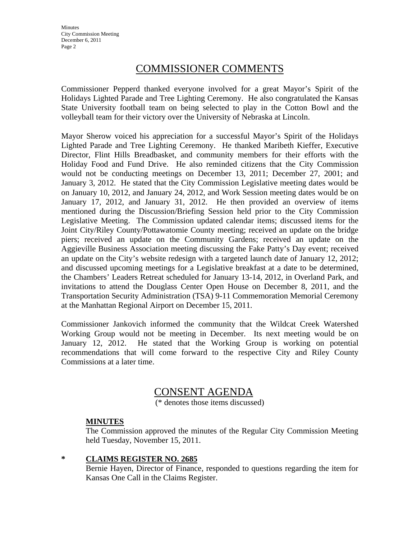**Minutes** City Commission Meeting December 6, 2011 Page 2

## COMMISSIONER COMMENTS

Commissioner Pepperd thanked everyone involved for a great Mayor's Spirit of the Holidays Lighted Parade and Tree Lighting Ceremony. He also congratulated the Kansas State University football team on being selected to play in the Cotton Bowl and the volleyball team for their victory over the University of Nebraska at Lincoln.

Mayor Sherow voiced his appreciation for a successful Mayor's Spirit of the Holidays Lighted Parade and Tree Lighting Ceremony. He thanked Maribeth Kieffer, Executive Director, Flint Hills Breadbasket, and community members for their efforts with the Holiday Food and Fund Drive. He also reminded citizens that the City Commission would not be conducting meetings on December 13, 2011; December 27, 2001; and January 3, 2012. He stated that the City Commission Legislative meeting dates would be on January 10, 2012, and January 24, 2012, and Work Session meeting dates would be on January 17, 2012, and January 31, 2012. He then provided an overview of items mentioned during the Discussion/Briefing Session held prior to the City Commission Legislative Meeting. The Commission updated calendar items; discussed items for the Joint City/Riley County/Pottawatomie County meeting; received an update on the bridge piers; received an update on the Community Gardens; received an update on the Aggieville Business Association meeting discussing the Fake Patty's Day event; received an update on the City's website redesign with a targeted launch date of January 12, 2012; and discussed upcoming meetings for a Legislative breakfast at a date to be determined, the Chambers' Leaders Retreat scheduled for January 13-14, 2012, in Overland Park, and invitations to attend the Douglass Center Open House on December 8, 2011, and the Transportation Security Administration (TSA) 9-11 Commemoration Memorial Ceremony at the Manhattan Regional Airport on December 15, 2011.

Commissioner Jankovich informed the community that the Wildcat Creek Watershed Working Group would not be meeting in December. Its next meeting would be on January 12, 2012. He stated that the Working Group is working on potential recommendations that will come forward to the respective City and Riley County Commissions at a later time.

### CONSENT AGENDA

(\* denotes those items discussed)

### **MINUTES**

The Commission approved the minutes of the Regular City Commission Meeting held Tuesday, November 15, 2011.

### **\* CLAIMS REGISTER NO. 2685**

Bernie Hayen, Director of Finance, responded to questions regarding the item for Kansas One Call in the Claims Register.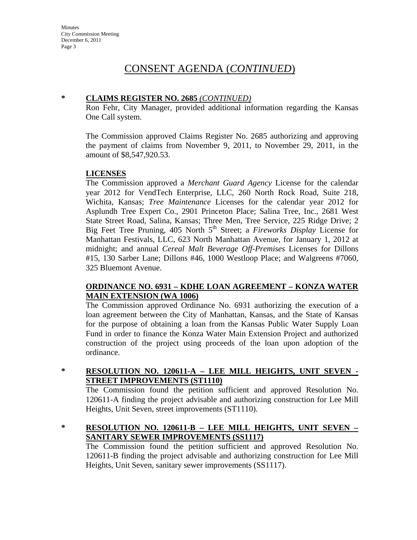# CONSENT AGENDA (*CONTINUED*)

### **\* CLAIMS REGISTER NO. 2685** *(CONTINUED)*

Ron Fehr, City Manager, provided additional information regarding the Kansas One Call system.

The Commission approved Claims Register No. 2685 authorizing and approving the payment of claims from November 9, 2011, to November 29, 2011, in the amount of \$8,547,920.53.

### **LICENSES**

The Commission approved a *Merchant Guard Agency* License for the calendar year 2012 for VendTech Enterprise, LLC, 260 North Rock Road, Suite 218, Wichita, Kansas; *Tree Maintenance* Licenses for the calendar year 2012 for Asplundh Tree Expert Co., 2901 Princeton Place; Salina Tree, Inc., 2681 West State Street Road, Salina, Kansas; Three Men, Tree Service, 225 Ridge Drive; 2 Big Feet Tree Pruning, 405 North 5<sup>th</sup> Street; a *Fireworks Display* License for Manhattan Festivals, LLC, 623 North Manhattan Avenue, for January 1, 2012 at midnight; and annual *Cereal Malt Beverage Off-Premises* Licenses for Dillons #15, 130 Sarber Lane; Dillons #46, 1000 Westloop Place; and Walgreens #7060, 325 Bluemont Avenue.

### **ORDINANCE NO. 6931 – KDHE LOAN AGREEMENT – KONZA WATER MAIN EXTENSION (WA 1006)**

The Commission approved Ordinance No. 6931 authorizing the execution of a loan agreement between the City of Manhattan, Kansas, and the State of Kansas for the purpose of obtaining a loan from the Kansas Public Water Supply Loan Fund in order to finance the Konza Water Main Extension Project and authorized construction of the project using proceeds of the loan upon adoption of the ordinance.

### **\* RESOLUTION NO. 120611-A – LEE MILL HEIGHTS, UNIT SEVEN - STREET IMPROVEMENTS (ST1110)**

The Commission found the petition sufficient and approved Resolution No. 120611-A finding the project advisable and authorizing construction for Lee Mill Heights, Unit Seven, street improvements (ST1110).

### **\* RESOLUTION NO. 120611-B – LEE MILL HEIGHTS, UNIT SEVEN – SANITARY SEWER IMPROVEMENTS (SS1117)**

The Commission found the petition sufficient and approved Resolution No. 120611-B finding the project advisable and authorizing construction for Lee Mill Heights, Unit Seven, sanitary sewer improvements (SS1117).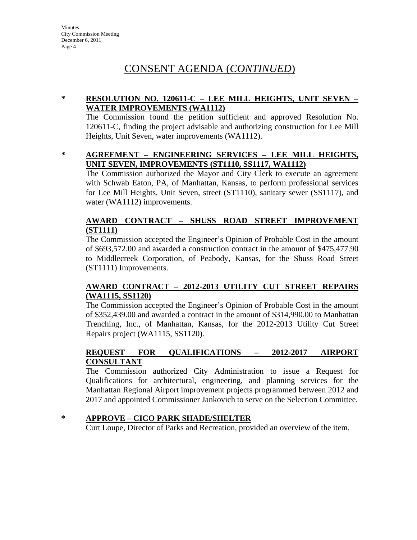# CONSENT AGENDA (*CONTINUED*)

### **\* RESOLUTION NO. 120611-C – LEE MILL HEIGHTS, UNIT SEVEN – WATER IMPROVEMENTS (WA1112)**

The Commission found the petition sufficient and approved Resolution No. 120611-C, finding the project advisable and authorizing construction for Lee Mill Heights, Unit Seven, water improvements (WA1112).

### **\* AGREEMENT – ENGINEERING SERVICES – LEE MILL HEIGHTS, UNIT SEVEN, IMPROVEMENTS (ST1110, SS1117, WA1112)**

The Commission authorized the Mayor and City Clerk to execute an agreement with Schwab Eaton, PA, of Manhattan, Kansas, to perform professional services for Lee Mill Heights, Unit Seven, street (ST1110), sanitary sewer (SS1117), and water (WA1112) improvements.

### **AWARD CONTRACT – SHUSS ROAD STREET IMPROVEMENT (ST1111)**

The Commission accepted the Engineer's Opinion of Probable Cost in the amount of \$693,572.00 and awarded a construction contract in the amount of \$475,477.90 to Middlecreek Corporation, of Peabody, Kansas, for the Shuss Road Street (ST1111) Improvements.

### **AWARD CONTRACT – 2012-2013 UTILITY CUT STREET REPAIRS (WA1115, SS1120)**

The Commission accepted the Engineer's Opinion of Probable Cost in the amount of \$352,439.00 and awarded a contract in the amount of \$314,990.00 to Manhattan Trenching, Inc., of Manhattan, Kansas, for the 2012-2013 Utility Cut Street Repairs project (WA1115, SS1120).

### **REQUEST FOR QUALIFICATIONS – 2012-2017 AIRPORT CONSULTANT**

The Commission authorized City Administration to issue a Request for Qualifications for architectural, engineering, and planning services for the Manhattan Regional Airport improvement projects programmed between 2012 and 2017 and appointed Commissioner Jankovich to serve on the Selection Committee.

### **\* APPROVE – CICO PARK SHADE/SHELTER**

Curt Loupe, Director of Parks and Recreation, provided an overview of the item.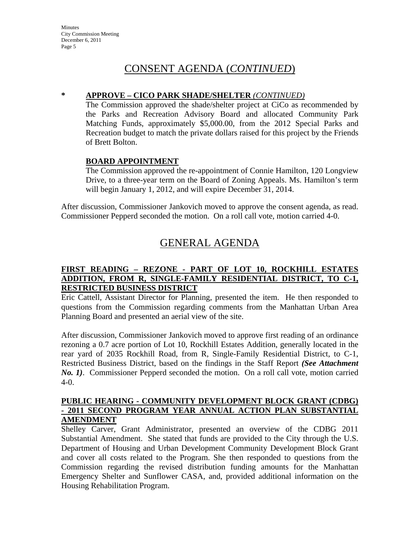# CONSENT AGENDA (*CONTINUED*)

### **\* APPROVE – CICO PARK SHADE/SHELTER** *(CONTINUED)*

The Commission approved the shade/shelter project at CiCo as recommended by the Parks and Recreation Advisory Board and allocated Community Park Matching Funds, approximately \$5,000.00, from the 2012 Special Parks and Recreation budget to match the private dollars raised for this project by the Friends of Brett Bolton.

### **BOARD APPOINTMENT**

The Commission approved the re-appointment of Connie Hamilton, 120 Longview Drive, to a three-year term on the Board of Zoning Appeals. Ms. Hamilton's term will begin January 1, 2012, and will expire December 31, 2014.

After discussion, Commissioner Jankovich moved to approve the consent agenda, as read. Commissioner Pepperd seconded the motion. On a roll call vote, motion carried 4-0.

# GENERAL AGENDA

### **FIRST READING – REZONE - PART OF LOT 10, ROCKHILL ESTATES ADDITION, FROM R, SINGLE-FAMILY RESIDENTIAL DISTRICT, TO C-1, RESTRICTED BUSINESS DISTRICT**

Eric Cattell, Assistant Director for Planning, presented the item. He then responded to questions from the Commission regarding comments from the Manhattan Urban Area Planning Board and presented an aerial view of the site.

After discussion, Commissioner Jankovich moved to approve first reading of an ordinance rezoning a 0.7 acre portion of Lot 10, Rockhill Estates Addition, generally located in the rear yard of 2035 Rockhill Road, from R, Single-Family Residential District, to C-1, Restricted Business District, based on the findings in the Staff Report *(See Attachment No. 1)*. Commissioner Pepperd seconded the motion. On a roll call vote, motion carried 4-0.

### **PUBLIC HEARING - COMMUNITY DEVELOPMENT BLOCK GRANT (CDBG) - 2011 SECOND PROGRAM YEAR ANNUAL ACTION PLAN SUBSTANTIAL AMENDMENT**

Shelley Carver, Grant Administrator, presented an overview of the CDBG 2011 Substantial Amendment. She stated that funds are provided to the City through the U.S. Department of Housing and Urban Development Community Development Block Grant and cover all costs related to the Program. She then responded to questions from the Commission regarding the revised distribution funding amounts for the Manhattan Emergency Shelter and Sunflower CASA, and, provided additional information on the Housing Rehabilitation Program.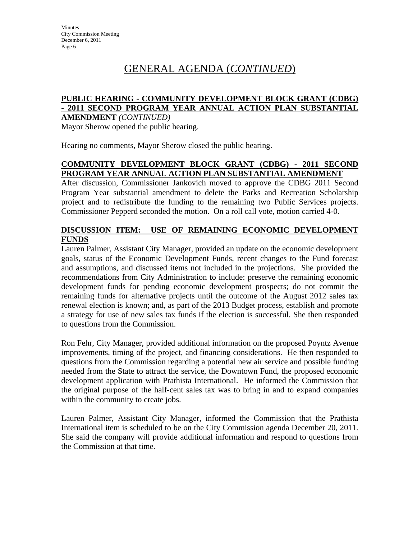# GENERAL AGENDA (*CONTINUED*)

#### **PUBLIC HEARING - COMMUNITY DEVELOPMENT BLOCK GRANT (CDBG) - 2011 SECOND PROGRAM YEAR ANNUAL ACTION PLAN SUBSTANTIAL AMENDMENT** *(CONTINUED)*

Mayor Sherow opened the public hearing.

Hearing no comments, Mayor Sherow closed the public hearing.

### **COMMUNITY DEVELOPMENT BLOCK GRANT (CDBG) - 2011 SECOND PROGRAM YEAR ANNUAL ACTION PLAN SUBSTANTIAL AMENDMENT**

After discussion, Commissioner Jankovich moved to approve the CDBG 2011 Second Program Year substantial amendment to delete the Parks and Recreation Scholarship project and to redistribute the funding to the remaining two Public Services projects. Commissioner Pepperd seconded the motion. On a roll call vote, motion carried 4-0.

### **DISCUSSION ITEM: USE OF REMAINING ECONOMIC DEVELOPMENT FUNDS**

Lauren Palmer, Assistant City Manager, provided an update on the economic development goals, status of the Economic Development Funds, recent changes to the Fund forecast and assumptions, and discussed items not included in the projections. She provided the recommendations from City Administration to include: preserve the remaining economic development funds for pending economic development prospects; do not commit the remaining funds for alternative projects until the outcome of the August 2012 sales tax renewal election is known; and, as part of the 2013 Budget process, establish and promote a strategy for use of new sales tax funds if the election is successful. She then responded to questions from the Commission.

Ron Fehr, City Manager, provided additional information on the proposed Poyntz Avenue improvements, timing of the project, and financing considerations. He then responded to questions from the Commission regarding a potential new air service and possible funding needed from the State to attract the service, the Downtown Fund, the proposed economic development application with Prathista International. He informed the Commission that the original purpose of the half-cent sales tax was to bring in and to expand companies within the community to create jobs.

Lauren Palmer, Assistant City Manager, informed the Commission that the Prathista International item is scheduled to be on the City Commission agenda December 20, 2011. She said the company will provide additional information and respond to questions from the Commission at that time.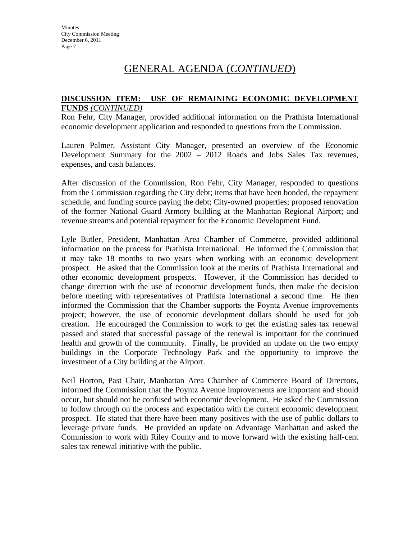# GENERAL AGENDA (*CONTINUED*)

#### **DISCUSSION ITEM: USE OF REMAINING ECONOMIC DEVELOPMENT FUNDS** *(CONTINUED)*

Ron Fehr, City Manager, provided additional information on the Prathista International economic development application and responded to questions from the Commission.

Lauren Palmer, Assistant City Manager, presented an overview of the Economic Development Summary for the 2002 – 2012 Roads and Jobs Sales Tax revenues, expenses, and cash balances.

After discussion of the Commission, Ron Fehr, City Manager, responded to questions from the Commission regarding the City debt; items that have been bonded, the repayment schedule, and funding source paying the debt; City-owned properties; proposed renovation of the former National Guard Armory building at the Manhattan Regional Airport; and revenue streams and potential repayment for the Economic Development Fund.

Lyle Butler, President, Manhattan Area Chamber of Commerce, provided additional information on the process for Prathista International. He informed the Commission that it may take 18 months to two years when working with an economic development prospect. He asked that the Commission look at the merits of Prathista International and other economic development prospects. However, if the Commission has decided to change direction with the use of economic development funds, then make the decision before meeting with representatives of Prathista International a second time. He then informed the Commission that the Chamber supports the Poyntz Avenue improvements project; however, the use of economic development dollars should be used for job creation. He encouraged the Commission to work to get the existing sales tax renewal passed and stated that successful passage of the renewal is important for the continued health and growth of the community. Finally, he provided an update on the two empty buildings in the Corporate Technology Park and the opportunity to improve the investment of a City building at the Airport.

Neil Horton, Past Chair, Manhattan Area Chamber of Commerce Board of Directors, informed the Commission that the Poyntz Avenue improvements are important and should occur, but should not be confused with economic development. He asked the Commission to follow through on the process and expectation with the current economic development prospect. He stated that there have been many positives with the use of public dollars to leverage private funds. He provided an update on Advantage Manhattan and asked the Commission to work with Riley County and to move forward with the existing half-cent sales tax renewal initiative with the public.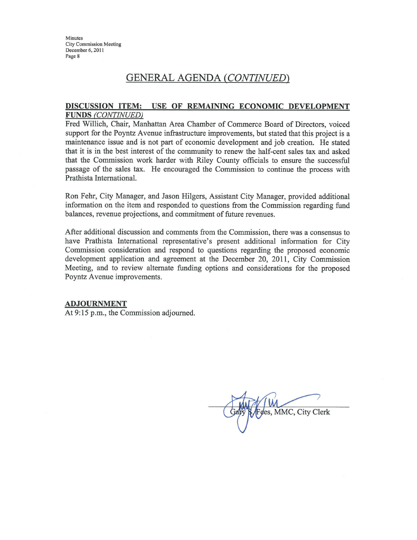Minutes **City Commission Meeting** December 6, 2011 Page 8

### **GENERAL AGENDA (CONTINUED)**

#### DISCUSSION ITEM: USE OF REMAINING ECONOMIC DEVELOPMENT **FUNDS (CONTINUED)**

Fred Willich, Chair, Manhattan Area Chamber of Commerce Board of Directors, voiced support for the Poyntz Avenue infrastructure improvements, but stated that this project is a maintenance issue and is not part of economic development and job creation. He stated that it is in the best interest of the community to renew the half-cent sales tax and asked that the Commission work harder with Riley County officials to ensure the successful passage of the sales tax. He encouraged the Commission to continue the process with Prathista International.

Ron Fehr, City Manager, and Jason Hilgers, Assistant City Manager, provided additional information on the item and responded to questions from the Commission regarding fund balances, revenue projections, and commitment of future revenues.

After additional discussion and comments from the Commission, there was a consensus to have Prathista International representative's present additional information for City Commission consideration and respond to questions regarding the proposed economic development application and agreement at the December 20, 2011, City Commission Meeting, and to review alternate funding options and considerations for the proposed Poyntz Avenue improvements.

#### **ADJOURNMENT**

At 9:15 p.m., the Commission adjourned.

ees, MMC, City Clerk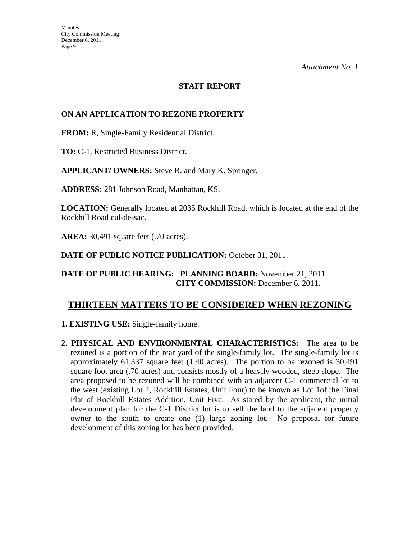### **STAFF REPORT**

### **ON AN APPLICATION TO REZONE PROPERTY**

**FROM:** R, Single-Family Residential District.

**TO:** C-1, Restricted Business District.

**APPLICANT/ OWNERS:** Steve R. and Mary K. Springer.

**ADDRESS:** 281 Johnson Road, Manhattan, KS.

**LOCATION:** Generally located at 2035 Rockhill Road, which is located at the end of the Rockhill Road cul-de-sac.

**AREA:** 30,491 square feet (.70 acres).

DATE OF PUBLIC NOTICE PUBLICATION: October 31, 2011.

**DATE OF PUBLIC HEARING: PLANNING BOARD:** November 21, 2011. **CITY COMMISSION:** December 6, 2011.

### **THIRTEEN MATTERS TO BE CONSIDERED WHEN REZONING**

**1. EXISTING USE:** Single-family home.

**2. PHYSICAL AND ENVIRONMENTAL CHARACTERISTICS:** The area to be rezoned is a portion of the rear yard of the single-family lot. The single-family lot is approximately 61,337 square feet (1.40 acres). The portion to be rezoned is 30,491 square foot area (.70 acres) and consists mostly of a heavily wooded, steep slope. The area proposed to be rezoned will be combined with an adjacent C-1 commercial lot to the west (existing Lot 2, Rockhill Estates, Unit Four) to be known as Lot 1of the Final Plat of Rockhill Estates Addition, Unit Five. As stated by the applicant, the initial development plan for the C-1 District lot is to sell the land to the adjacent property owner to the south to create one (1) large zoning lot. No proposal for future development of this zoning lot has been provided.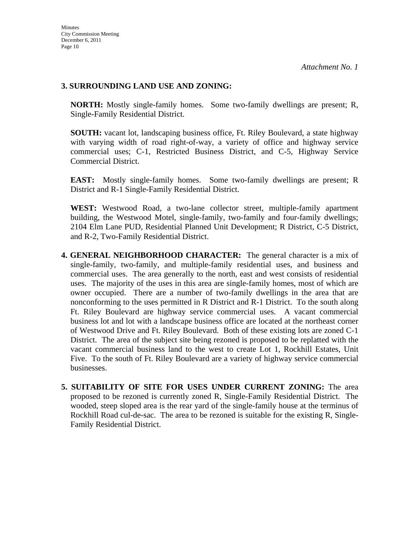### **3. SURROUNDING LAND USE AND ZONING:**

**NORTH:** Mostly single-family homes. Some two-family dwellings are present; R, Single-Family Residential District.

**SOUTH:** vacant lot, landscaping business office, Ft. Riley Boulevard, a state highway with varying width of road right-of-way, a variety of office and highway service commercial uses; C-1, Restricted Business District, and C-5, Highway Service Commercial District.

**EAST:** Mostly single-family homes. Some two-family dwellings are present; R District and R-1 Single-Family Residential District.

**WEST:** Westwood Road, a two-lane collector street, multiple-family apartment building, the Westwood Motel, single-family, two-family and four-family dwellings; 2104 Elm Lane PUD, Residential Planned Unit Development; R District, C-5 District, and R-2, Two-Family Residential District.

- **4. GENERAL NEIGHBORHOOD CHARACTER:** The general character is a mix of single-family, two-family, and multiple-family residential uses, and business and commercial uses. The area generally to the north, east and west consists of residential uses. The majority of the uses in this area are single-family homes, most of which are owner occupied. There are a number of two-family dwellings in the area that are nonconforming to the uses permitted in R District and R-1 District. To the south along Ft. Riley Boulevard are highway service commercial uses. A vacant commercial business lot and lot with a landscape business office are located at the northeast corner of Westwood Drive and Ft. Riley Boulevard. Both of these existing lots are zoned C-1 District. The area of the subject site being rezoned is proposed to be replatted with the vacant commercial business land to the west to create Lot 1, Rockhill Estates, Unit Five. To the south of Ft. Riley Boulevard are a variety of highway service commercial businesses.
- **5. SUITABILITY OF SITE FOR USES UNDER CURRENT ZONING:** The area proposed to be rezoned is currently zoned R, Single-Family Residential District. The wooded, steep sloped area is the rear yard of the single-family house at the terminus of Rockhill Road cul-de-sac. The area to be rezoned is suitable for the existing R, Single-Family Residential District.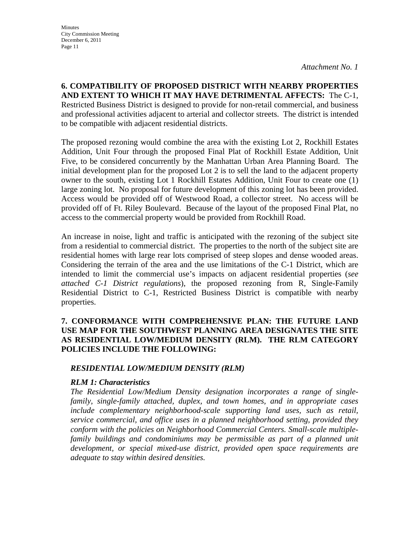**6. COMPATIBILITY OF PROPOSED DISTRICT WITH NEARBY PROPERTIES AND EXTENT TO WHICH IT MAY HAVE DETRIMENTAL AFFECTS:** The C-1, Restricted Business District is designed to provide for non-retail commercial, and business and professional activities adjacent to arterial and collector streets. The district is intended to be compatible with adjacent residential districts.

The proposed rezoning would combine the area with the existing Lot 2, Rockhill Estates Addition, Unit Four through the proposed Final Plat of Rockhill Estate Addition, Unit Five, to be considered concurrently by the Manhattan Urban Area Planning Board. The initial development plan for the proposed Lot 2 is to sell the land to the adjacent property owner to the south, existing Lot 1 Rockhill Estates Addition, Unit Four to create one (1) large zoning lot. No proposal for future development of this zoning lot has been provided. Access would be provided off of Westwood Road, a collector street. No access will be provided off of Ft. Riley Boulevard. Because of the layout of the proposed Final Plat, no access to the commercial property would be provided from Rockhill Road.

An increase in noise, light and traffic is anticipated with the rezoning of the subject site from a residential to commercial district. The properties to the north of the subject site are residential homes with large rear lots comprised of steep slopes and dense wooded areas. Considering the terrain of the area and the use limitations of the C-1 District, which are intended to limit the commercial use's impacts on adjacent residential properties (*see attached C-1 District regulations*), the proposed rezoning from R, Single-Family Residential District to C-1, Restricted Business District is compatible with nearby properties.

### **7. CONFORMANCE WITH COMPREHENSIVE PLAN: THE FUTURE LAND USE MAP FOR THE SOUTHWEST PLANNING AREA DESIGNATES THE SITE AS RESIDENTIAL LOW/MEDIUM DENSITY (RLM). THE RLM CATEGORY POLICIES INCLUDE THE FOLLOWING:**

### *RESIDENTIAL LOW/MEDIUM DENSITY (RLM)*

### *RLM 1: Characteristics*

*The Residential Low/Medium Density designation incorporates a range of singlefamily, single-family attached, duplex, and town homes, and in appropriate cases include complementary neighborhood-scale supporting land uses, such as retail, service commercial, and office uses in a planned neighborhood setting, provided they conform with the policies on Neighborhood Commercial Centers. Small-scale multiplefamily buildings and condominiums may be permissible as part of a planned unit development, or special mixed-use district, provided open space requirements are adequate to stay within desired densities.*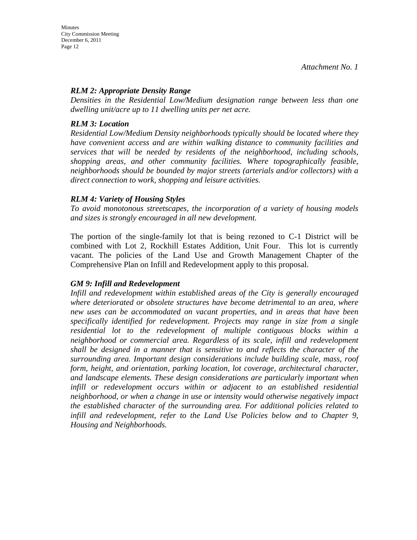### *RLM 2: Appropriate Density Range*

*Densities in the Residential Low/Medium designation range between less than one dwelling unit/acre up to 11 dwelling units per net acre.* 

### *RLM 3: Location*

*Residential Low/Medium Density neighborhoods typically should be located where they have convenient access and are within walking distance to community facilities and services that will be needed by residents of the neighborhood, including schools, shopping areas, and other community facilities. Where topographically feasible, neighborhoods should be bounded by major streets (arterials and/or collectors) with a direct connection to work, shopping and leisure activities.* 

### *RLM 4: Variety of Housing Styles*

*To avoid monotonous streetscapes, the incorporation of a variety of housing models and sizes is strongly encouraged in all new development.* 

The portion of the single-family lot that is being rezoned to C-1 District will be combined with Lot 2, Rockhill Estates Addition, Unit Four. This lot is currently vacant. The policies of the Land Use and Growth Management Chapter of the Comprehensive Plan on Infill and Redevelopment apply to this proposal.

### *GM 9: Infill and Redevelopment*

*Infill and redevelopment within established areas of the City is generally encouraged where deteriorated or obsolete structures have become detrimental to an area, where new uses can be accommodated on vacant properties, and in areas that have been specifically identified for redevelopment. Projects may range in size from a single residential lot to the redevelopment of multiple contiguous blocks within a neighborhood or commercial area. Regardless of its scale, infill and redevelopment shall be designed in a manner that is sensitive to and reflects the character of the surrounding area. Important design considerations include building scale, mass, roof form, height, and orientation, parking location, lot coverage, architectural character, and landscape elements. These design considerations are particularly important when infill or redevelopment occurs within or adjacent to an established residential neighborhood, or when a change in use or intensity would otherwise negatively impact the established character of the surrounding area. For additional policies related to infill and redevelopment, refer to the Land Use Policies below and to Chapter 9, Housing and Neighborhoods.*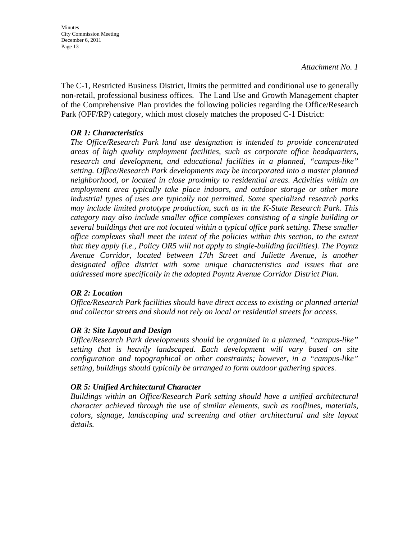The C-1, Restricted Business District, limits the permitted and conditional use to generally non-retail, professional business offices. The Land Use and Growth Management chapter of the Comprehensive Plan provides the following policies regarding the Office/Research Park (OFF/RP) category, which most closely matches the proposed C-1 District:

### *OR 1: Characteristics*

*The Office/Research Park land use designation is intended to provide concentrated areas of high quality employment facilities, such as corporate office headquarters, research and development, and educational facilities in a planned, "campus-like" setting. Office/Research Park developments may be incorporated into a master planned neighborhood, or located in close proximity to residential areas. Activities within an employment area typically take place indoors, and outdoor storage or other more industrial types of uses are typically not permitted. Some specialized research parks may include limited prototype production, such as in the K-State Research Park. This category may also include smaller office complexes consisting of a single building or several buildings that are not located within a typical office park setting. These smaller office complexes shall meet the intent of the policies within this section, to the extent that they apply (i.e., Policy OR5 will not apply to single-building facilities). The Poyntz Avenue Corridor, located between 17th Street and Juliette Avenue, is another designated office district with some unique characteristics and issues that are addressed more specifically in the adopted Poyntz Avenue Corridor District Plan.* 

### *OR 2: Location*

*Office/Research Park facilities should have direct access to existing or planned arterial and collector streets and should not rely on local or residential streets for access.* 

### *OR 3: Site Layout and Design*

*Office/Research Park developments should be organized in a planned, "campus-like" setting that is heavily landscaped. Each development will vary based on site configuration and topographical or other constraints; however, in a "campus-like" setting, buildings should typically be arranged to form outdoor gathering spaces.* 

### *OR 5: Unified Architectural Character*

*Buildings within an Office/Research Park setting should have a unified architectural character achieved through the use of similar elements, such as rooflines, materials, colors, signage, landscaping and screening and other architectural and site layout details.*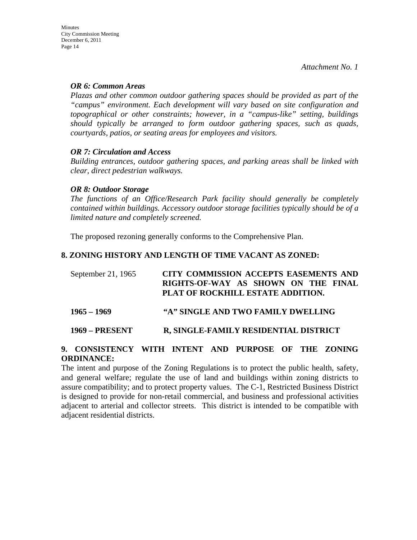#### *OR 6: Common Areas*

*Plazas and other common outdoor gathering spaces should be provided as part of the "campus" environment. Each development will vary based on site configuration and topographical or other constraints; however, in a "campus-like" setting, buildings should typically be arranged to form outdoor gathering spaces, such as quads, courtyards, patios, or seating areas for employees and visitors.* 

### *OR 7: Circulation and Access*

*Building entrances, outdoor gathering spaces, and parking areas shall be linked with clear, direct pedestrian walkways.* 

### *OR 8: Outdoor Storage*

*The functions of an Office/Research Park facility should generally be completely contained within buildings. Accessory outdoor storage facilities typically should be of a limited nature and completely screened.* 

The proposed rezoning generally conforms to the Comprehensive Plan.

### **8. ZONING HISTORY AND LENGTH OF TIME VACANT AS ZONED:**

| September 21, 1965 | CITY COMMISSION ACCEPTS EASEMENTS AND<br>RIGHTS-OF-WAY AS SHOWN ON THE FINAL<br>PLAT OF ROCKHILL ESTATE ADDITION. |
|--------------------|-------------------------------------------------------------------------------------------------------------------|
| 1965 – 1969        | "A" SINGLE AND TWO FAMILY DWELLING                                                                                |

### **1969 – PRESENT R, SINGLE-FAMILY RESIDENTIAL DISTRICT**

### **9. CONSISTENCY WITH INTENT AND PURPOSE OF THE ZONING ORDINANCE:**

The intent and purpose of the Zoning Regulations is to protect the public health, safety, and general welfare; regulate the use of land and buildings within zoning districts to assure compatibility; and to protect property values. The C-1, Restricted Business District is designed to provide for non-retail commercial, and business and professional activities adjacent to arterial and collector streets. This district is intended to be compatible with adjacent residential districts.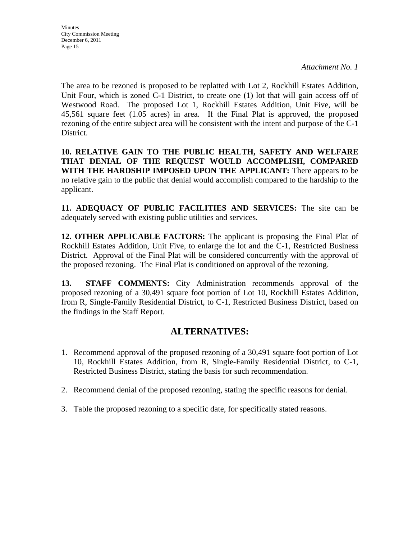The area to be rezoned is proposed to be replatted with Lot 2, Rockhill Estates Addition, Unit Four, which is zoned C-1 District, to create one (1) lot that will gain access off of Westwood Road. The proposed Lot 1, Rockhill Estates Addition, Unit Five, will be 45,561 square feet (1.05 acres) in area. If the Final Plat is approved, the proposed rezoning of the entire subject area will be consistent with the intent and purpose of the C-1 District.

**10. RELATIVE GAIN TO THE PUBLIC HEALTH, SAFETY AND WELFARE THAT DENIAL OF THE REQUEST WOULD ACCOMPLISH, COMPARED WITH THE HARDSHIP IMPOSED UPON THE APPLICANT:** There appears to be no relative gain to the public that denial would accomplish compared to the hardship to the applicant.

**11. ADEQUACY OF PUBLIC FACILITIES AND SERVICES:** The site can be adequately served with existing public utilities and services.

**12. OTHER APPLICABLE FACTORS:** The applicant is proposing the Final Plat of Rockhill Estates Addition, Unit Five, to enlarge the lot and the C-1, Restricted Business District. Approval of the Final Plat will be considered concurrently with the approval of the proposed rezoning. The Final Plat is conditioned on approval of the rezoning.

**13. STAFF COMMENTS:** City Administration recommends approval of the proposed rezoning of a 30,491 square foot portion of Lot 10, Rockhill Estates Addition, from R, Single-Family Residential District, to C-1, Restricted Business District, based on the findings in the Staff Report.

# **ALTERNATIVES:**

- 1. Recommend approval of the proposed rezoning of a 30,491 square foot portion of Lot 10, Rockhill Estates Addition, from R, Single-Family Residential District, to C-1, Restricted Business District, stating the basis for such recommendation.
- 2. Recommend denial of the proposed rezoning, stating the specific reasons for denial.
- 3. Table the proposed rezoning to a specific date, for specifically stated reasons.